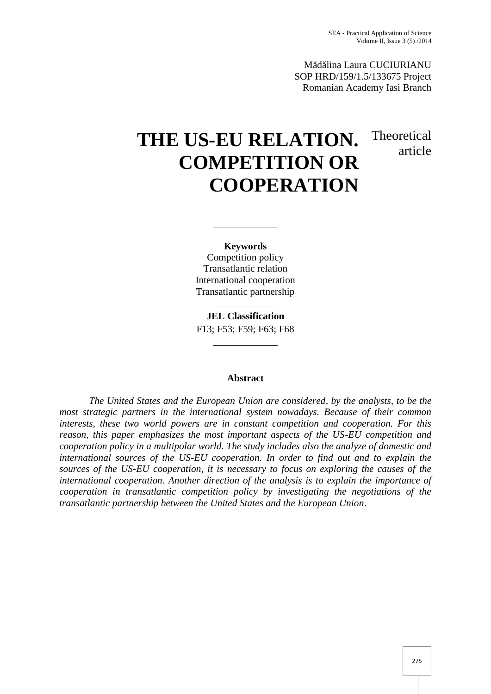Theoretical

article

M d lina Laura CUCIURIANU SOP HRD/159/1.5/133675 Project Romanian Academy Iasi Branch

# **THE US-EU RELATION. COMPETITION OR COOPERATION**

**Keywords** Competition policy Transatlantic relation International cooperation Transatlantic partnership

**JEL Classification** F13; F53; F59; F63; F68

# **Abstract**

*The United States and the European Union are considered, by the analysts, to be the most strategic partners in the international system nowadays. Because of their common interests, these two world powers are in constant competition and cooperation. For this reason, this paper emphasizes the most important aspects of the US-EU competition and cooperation policy in a multipolar world. The study includes also the analyze of domestic and international sources of the US-EU cooperation. In order to find out and to explain the sources of the US-EU cooperation, it is necessary to focus on exploring the causes of the international cooperation. Another direction of the analysis is to explain the importance of cooperation in transatlantic competition policy by investigating the negotiations of the transatlantic partnership between the United States and the European Union*.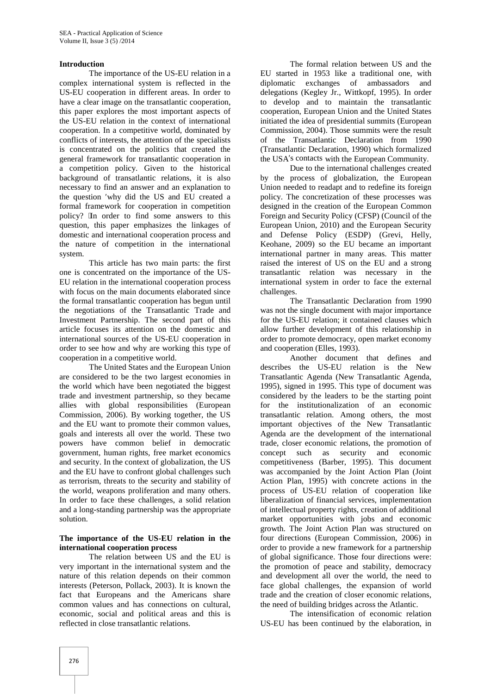#### **Introduction**

The importance of the US-EU relation in a complex international system is reflected in the US-EU cooperation in different areas. In order to have a clear image on the transatlantic cooperation, this paper explores the most important aspects of the US-EU relation in the context of international cooperation. In a competitive world, dominated by conflicts of interests, the attention of the specialists is concentrated on the politics that created the general framework for transatlantic cooperation in a competition policy. Given to the historical background of transatlantic relations, it is also necessary to find an answer and an explanation to the question why did the US and EU created a formal framework for cooperation in competition policy? In order to find some answers to this question, this paper emphasizes the linkages of domestic and international cooperation process and the nature of competition in the international system.

This article has two main parts: the first one is concentrated on the importance of the US- EU relation in the international cooperation process with focus on the main documents elaborated since the formal transatlantic cooperation has begun until the negotiations of the Transatlantic Trade and Investment Partnership. The second part of this article focuses its attention on the domestic and international sources of the US-EU cooperation in order to see how and why are working this type of cooperation in a competitive world.

The United States and the European Union are considered to be the two largest economies in the world which have been negotiated the biggest trade and investment partnership, so they became allies with global responsibilities (European Commission, 2006). By working together, the US and the EU want to promote their common values, goals and interests all over the world. These two powers have common belief in democratic government, human rights, free market economics and security. In the context of globalization, the US and the EU have to confront global challenges such as terrorism, threats to the security and stability of the world, weapons proliferation and many others. In order to face these challenges, a solid relation and a long-standing partnership was the appropriate solution.

#### **The importance of the US-EU relation in the international cooperation process**

The relation between US and the EU is very important in the international system and the nature of this relation depends on their common interests (Peterson, Pollack, 2003). It is known the fact that Europeans and the Americans share common values and has connections on cultural, economic, social and political areas and this is reflected in close transatlantic relations.

The formal relation between US and the EU started in 1953 like a traditional one, with diplomatic exchanges of ambassadors and delegations (Kegley Jr., Wittkopf, 1995). In order to develop and to maintain the transatlantic cooperation, European Union and the United States initiated the idea of presidential summits (European Commission, 2004). Those summits were the result of the Transatlantic Declaration from 1990 (Transatlantic Declaration, 1990) which formalized the USA<sup>s</sup> contacts with the European Community.

Due to the international challenges created by the process of globalization, the European Union needed to readapt and to redefine its foreign policy. The concretization of these processes was designed in the creation of the European Common Foreign and Security Policy (CFSP) (Council of the European Union, 2010) and the European Security and Defense Policy (ESDP) (Grevi, Helly, Keohane, 2009) so the EU became an important international partner in many areas. This matter raised the interest of US on the EU and a strong transatlantic relation was necessary in the international system in order to face the external challenges.

The Transatlantic Declaration from 1990 was not the single document with major importance for the US-EU relation; it contained clauses which allow further development of this relationship in order to promote democracy, open market economy and cooperation (Elles, 1993).

Another document that defines and describes the US-EU relation is the New Transatlantic Agenda (New Transatlantic Agenda, 1995), signed in 1995. This type of document was considered by the leaders to be the starting point for the institutionalization of an economic transatlantic relation. Among others, the most important objectives of the New Transatlantic Agenda are the development of the international trade, closer economic relations, the promotion of concept such as security and economic competitiveness (Barber, 1995). This document was accompanied by the Joint Action Plan (Joint Action Plan, 1995) with concrete actions in the process of US-EU relation of cooperation like liberalization of financial services, implementation of intellectual property rights, creation of additional market opportunities with jobs and economic growth. The Joint Action Plan was structured on four directions (European Commission, 2006) in order to provide a new framework for a partnership of global significance. Those four directions were: the promotion of peace and stability, democracy and development all over the world, the need to face global challenges, the expansion of world trade and the creation of closer economic relations, the need of building bridges across the Atlantic.

The intensification of economic relation US-EU has been continued by the elaboration, in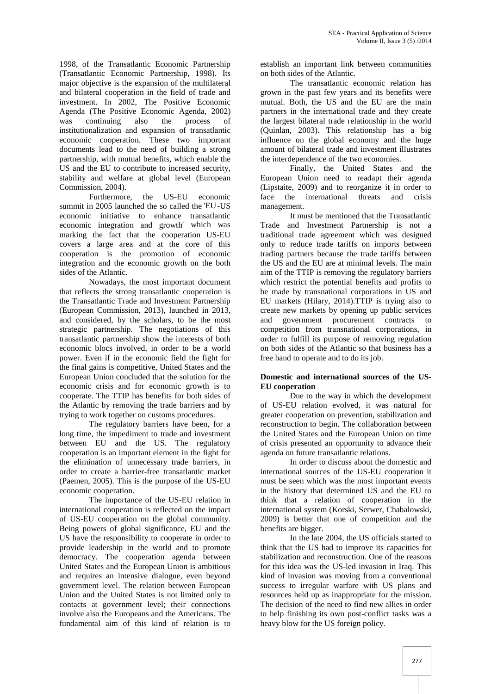1998, of the Transatlantic Economic Partnership (Transatlantic Economic Partnership, 1998). Its major objective is the expansion of the multilateral and bilateral cooperation in the field of trade and investment. In 2002, The Positive Economic Agenda (The Positive Economic Agenda, 2002)<br>was continuing also the process of was continuing also the process of institutionalization and expansion of transatlantic economic cooperation. These two important documents lead to the need of building a strong partnership, with mutual benefits, which enable the US and the EU to contribute to increased security, stability and welfare at global level (European Commission, 2004).

Furthermore, the US-EU economic summit in  $2005$  launched the so called the  $EU$ -US economic initiative to enhance transatlantic economic integration and growth which was marking the fact that the cooperation US-EU covers a large area and at the core of this cooperation is the promotion of economic integration and the economic growth on the both sides of the Atlantic.

Nowadays, the most important document that reflects the strong transatlantic cooperation is the Transatlantic Trade and Investment Partnership (European Commission, 2013), launched in 2013, and considered, by the scholars, to be the most strategic partnership. The negotiations of this transatlantic partnership show the interests of both economic blocs involved, in order to be a world power. Even if in the economic field the fight for the final gains is competitive, United States and the European Union concluded that the solution for the economic crisis and for economic growth is to cooperate. The TTIP has benefits for both sides of the Atlantic by removing the trade barriers and by trying to work together on customs procedures.

The regulatory barriers have been, for a long time, the impediment to trade and investment between EU and the US. The regulatory cooperation is an important element in the fight for the elimination of unnecessary trade barriers, in order to create a barrier-free transatlantic market (Paemen, 2005). This is the purpose of the US-EU economic cooperation.

The importance of the US-EU relation in international cooperation is reflected on the impact of US-EU cooperation on the global community. Being powers of global significance, EU and the US have the responsibility to cooperate in order to provide leadership in the world and to promote democracy. The cooperation agenda between United States and the European Union is ambitious and requires an intensive dialogue, even beyond government level. The relation between European Union and the United States is not limited only to contacts at government level; their connections involve also the Europeans and the Americans. The fundamental aim of this kind of relation is to

establish an important link between communities on both sides of the Atlantic.

The transatlantic economic relation has grown in the past few years and its benefits were mutual. Both, the US and the EU are the main partners in the international trade and they create the largest bilateral trade relationship in the world (Quinlan, 2003). This relationship has a big influence on the global economy and the huge amount of bilateral trade and investment illustrates the interdependence of the two economies.

Finally, the United States and the European Union need to readapt their agenda (Lipstaite, 2009) and to reorganize it in order to face the international threats and crisis management.

It must be mentioned that the Transatlantic Trade and Investment Partnership is not a traditional trade agreement which was designed only to reduce trade tariffs on imports between trading partners because the trade tariffs between the US and the EU are at minimal levels. The main aim of the TTIP is removing the regulatory barriers which restrict the potential benefits and profits to be made by transnational corporations in US and EU markets (Hilary, 2014).TTIP is trying also to create new markets by opening up public services and government procurement contracts to competition from transnational corporations, in order to fulfill its purpose of removing regulation on both sides of the Atlantic so that business has a free hand to operate and to do its job.

## **Domestic and international sources of the US- EU cooperation**

Due to the way in which the development of US-EU relation evolved, it was natural for greater cooperation on prevention, stabilization and reconstruction to begin. The collaboration between the United States and the European Union on time of crisis presented an opportunity to advance their agenda on future transatlantic relations.

In order to discuss about the domestic and international sources of the US-EU cooperation it must be seen which was the most important events in the history that determined US and the EU to think that a relation of cooperation in the international system (Korski, Serwer, Chabalowski, 2009) is better that one of competition and the benefits are bigger.

In the late 2004, the US officials started to think that the US had to improve its capacities for stabilization and reconstruction. One of the reasons for this idea was the US-led invasion in Iraq. This kind of invasion was moving from a conventional success to irregular warfare with US plans and resources held up as inappropriate for the mission. The decision of the need to find new allies in order to help finishing its own post-conflict tasks was a heavy blow for the US foreign policy.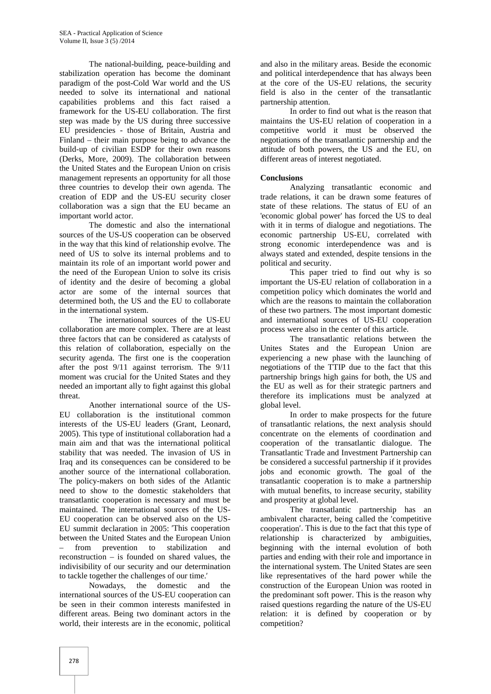The national-building, peace-building and stabilization operation has become the dominant paradigm of the post-Cold War world and the US needed to solve its international and national capabilities problems and this fact raised a framework for the US-EU collaboration. The first step was made by the US during three successive EU presidencies - those of Britain, Austria and Finland – their main purpose being to advance the build-up of civilian ESDP for their own reasons (Derks, More, 2009). The collaboration between the United States and the European Union on crisis management represents an opportunity for all those three countries to develop their own agenda. The creation of EDP and the US-EU security closer collaboration was a sign that the EU became an important world actor.

The domestic and also the international sources of the US-US cooperation can be observed in the way that this kind of relationship evolve. The need of US to solve its internal problems and to maintain its role of an important world power and the need of the European Union to solve its crisis of identity and the desire of becoming a global actor are some of the internal sources that determined both, the US and the EU to collaborate in the international system.

The international sources of the US-EU collaboration are more complex. There are at least three factors that can be considered as catalysts of this relation of collaboration, especially on the security agenda. The first one is the cooperation after the post 9/11 against terrorism. The 9/11 moment was crucial for the United States and they needed an important ally to fight against this global threat.

Another international source of the US- EU collaboration is the institutional common interests of the US-EU leaders (Grant, Leonard, 2005). This type of institutional collaboration had a main aim and that was the international political stability that was needed. The invasion of US in Iraq and its consequences can be considered to be another source of the international collaboration. The policy-makers on both sides of the Atlantic need to show to the domestic stakeholders that transatlantic cooperation is necessary and must be maintained. The international sources of the US- EU cooperation can be observed also on the US- EU summit declaration in 2005: This cooperation between the United States and the European Union from prevention to stabilization and reconstruction – is founded on shared values, the indivisibility of our security and our determination to tackle together the challenges of our time.

Nowadays, the domestic and the international sources of the US-EU cooperation can be seen in their common interests manifested in different areas. Being two dominant actors in the world, their interests are in the economic, political and also in the military areas. Beside the economic and political interdependence that has always been at the core of the US-EU relations, the security field is also in the center of the transatlantic partnership attention.

In order to find out what is the reason that maintains the US-EU relation of cooperation in a competitive world it must be observed the negotiations of the transatlantic partnership and the attitude of both powers, the US and the EU, on different areas of interest negotiated.

## **Conclusions**

Analyzing transatlantic economic and trade relations, it can be drawn some features of state of these relations. The status of EU of an 'economic global power' has forced the US to deal with it in terms of dialogue and negotiations. The economic partnership US-EU, correlated with strong economic interdependence was and is always stated and extended, despite tensions in the political and security.

This paper tried to find out why is so important the US-EU relation of collaboration in a competition policy which dominates the world and which are the reasons to maintain the collaboration of these two partners. The most important domestic and international sources of US-EU cooperation process were also in the center of this article.

The transatlantic relations between the Unites States and the European Union are experiencing a new phase with the launching of negotiations of the TTIP due to the fact that this partnership brings high gains for both, the US and the EU as well as for their strategic partners and therefore its implications must be analyzed at global level.

In order to make prospects for the future of transatlantic relations, the next analysis should concentrate on the elements of coordination and cooperation of the transatlantic dialogue. The Transatlantic Trade and Investment Partnership can be considered a successful partnership if it provides jobs and economic growth. The goal of the transatlantic cooperation is to make a partnership with mutual benefits, to increase security, stability and prosperity at global level.

The transatlantic partnership has an ambivalent character, being called the competitive cooperation. This is due to the fact that this type of relationship is characterized by ambiguities, beginning with the internal evolution of both parties and ending with their role and importance in the international system. The United States are seen like representatives of the hard power while the construction of the European Union was rooted in the predominant soft power. This is the reason why raised questions regarding the nature of the US-EU relation: it is defined by cooperation or by competition?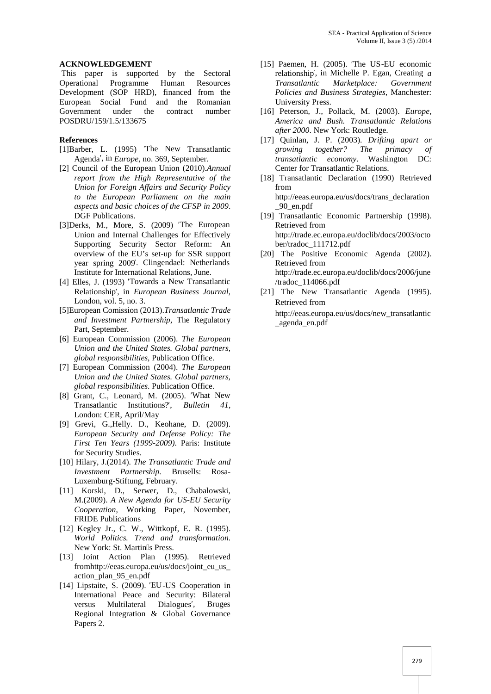#### **ACKNOWLEDGEMENT**

This paper is supported by the Sectoral Operational Programme Human Resources Development (SOP HRD), financed from the European Social Fund and the Romanian Government under the contract number POSDRU/159/1.5/133675

#### **References**

- [1]Barber, L. (1995) The New Transatlantic Agenda′, in *Europe*, no. 369, September.
- [2] Council of the European Union (2010).*Annual report from the High Representative of the Union for Foreign Affairs and Security Policy to the European Parliament on the main aspects and basic choices of the CFSP in 2009*. DGF Publications.
- [3]Derks, M., More, S. (2009) The European Union and Internal Challenges for Effectively Supporting Security Sector Reform: An overview of the EU's set-up for SSR support year spring 2009. Clingendael: Netherlands Institute for International Relations, June.
- [4] Elles, J. (1993) Towards a New Transatlantic Relationship′, in *European Business Journal*, London, vol. 5, no. 3.
- [5]European Comission (2013).*Transatlantic Trade and Investment Partnership*, The Regulatory Part, September.
- [6] European Commission (2006). *The European Union and the United States. Global partners, global responsibilities*, Publication Office.
- [7] European Commission (2004). *The European Union and the United States. Global partners, global responsibilities*. Publication Office.
- [8] Grant, C., Leonard, M. (2005). What New Transatlantic Institutions?, *Bulletin 41*, London: CER, April/May
- [9] Grevi, G.,Helly. D., Keohane, D. (2009). *European Security and Defense Policy: The First Ten Years (1999-2009)*. Paris: Institute for Security Studies.
- [10] Hilary, J.(2014). *The Transatlantic Trade and Investment Partnership.* Brusells: Rosa- Luxemburg-Stiftung, February.
- [11] Korski, D., Serwer, D., Chabalowski, M.(2009). *A New Agenda for US-EU Security Cooperation*, Working Paper, November, FRIDE Publications
- [12] Kegley Jr., C. W., Wittkopf, E. R. (1995). *World Politics. Trend and transformation*. New York: St. Martin's Press.
- [13] Joint Action Plan (1995). Retrieved fromhttp://eeas.europa.eu/us/docs/joint\_eu\_us\_ action\_plan\_95\_en.pdf
- [14] Lipstaite, S. (2009). EU-US Cooperation in International Peace and Security: Bilateral versus Multilateral Dialogues, Bruges Regional Integration & Global Governance Papers 2.
- [15] Paemen, H. (2005). The US-EU economic relationship′, in Michelle P. Egan, Creating *a Transatlantic Marketplace: Government Policies and Business Strategies*, Manchester: University Press.
- [16] Peterson, J., Pollack, M. (2003). *Europe, America and Bush. Transatlantic Relations after 2000*. New York: Routledge.
- [17] Quinlan, J. P. (2003). *Drifting apart or growing together? The primacy of transatlantic economy*. Washington DC: Center for Transatlantic Relations.
- [18] Transatlantic Declaration (1990) Retrieved from http://eeas.europa.eu/us/docs/trans\_declaration

\_90\_en.pdf

[19] Transatlantic Economic Partnership (1998). Retrieved from http://trade.ec.europa.eu/doclib/docs/2003/octo

ber/tradoc\_111712.pdf [20] The Positive Economic Agenda (2002).

- Retrieved from http://trade.ec.europa.eu/doclib/docs/2006/june /tradoc\_114066.pdf
- [21] The New Transatlantic Agenda (1995). Retrieved from http://eeas.europa.eu/us/docs/new\_transatlantic \_agenda\_en.pdf